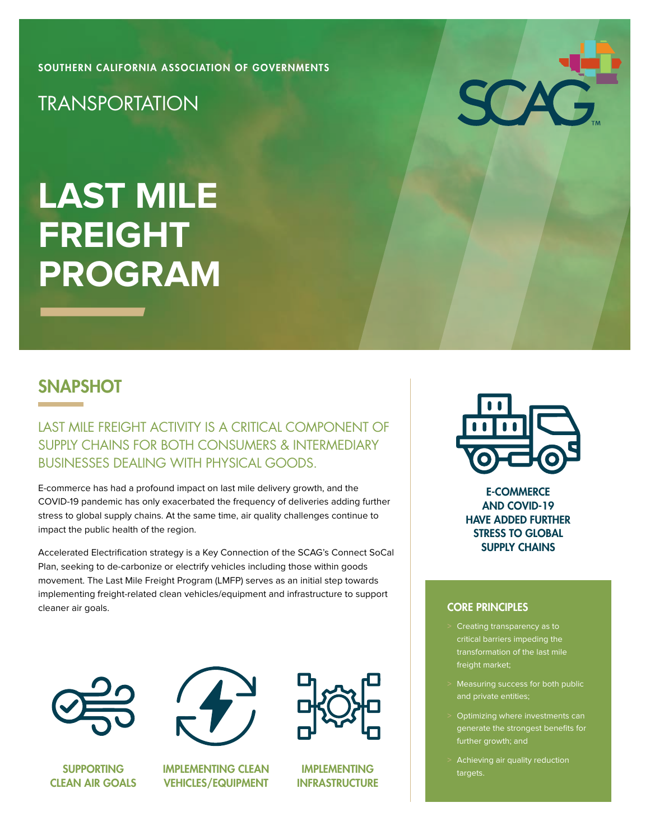[SOUTHERN CALIFORNIA ASSOCIATION OF GOVERNMENTS](https://scag.ca.gov/)

**TRANSPORTATION** 

# **LAST MILE FREIGHT PROGRAM**

### **SNAPSHOT**

LAST MILE FREIGHT ACTIVITY IS A CRITICAL COMPONENT OF SUPPLY CHAINS FOR BOTH CONSUMERS & INTERMEDIARY BUSINESSES DEALING WITH PHYSICAL GOODS.

E-commerce has had a profound impact on last mile delivery growth, and the COVID-19 pandemic has only exacerbated the frequency of deliveries adding further stress to global supply chains. At the same time, air quality challenges continue to impact the public health of the region.

Accelerated Electrification strategy is a Key Connection of the SCAG's Connect SoCal Plan, seeking to de-carbonize or electrify vehicles including those within goods movement. The Last Mile Freight Program (LMFP) serves as an initial step towards implementing freight-related clean vehicles/equipment and infrastructure to support cleaner air goals.



SUPPORTING CLEAN AIR GOALS



IMPLEMENTING CLEAN VEHICLES/EQUIPMENT



IMPLEMENTING **INFRASTRUCTURE** 



SCA

E-COMMERCE AND COVID-19 HAVE ADDED FURTHER STRESS TO GLOBAL SUPPLY CHAINS

#### CORE PRINCIPLES

- Creating transparency as to critical barriers impeding the transformation of the last mile freight market;
- Measuring success for both public and private entities;
- > Optimizing where investments can generate the strongest benefits for further growth; and
- Achieving air quality reduction targets.